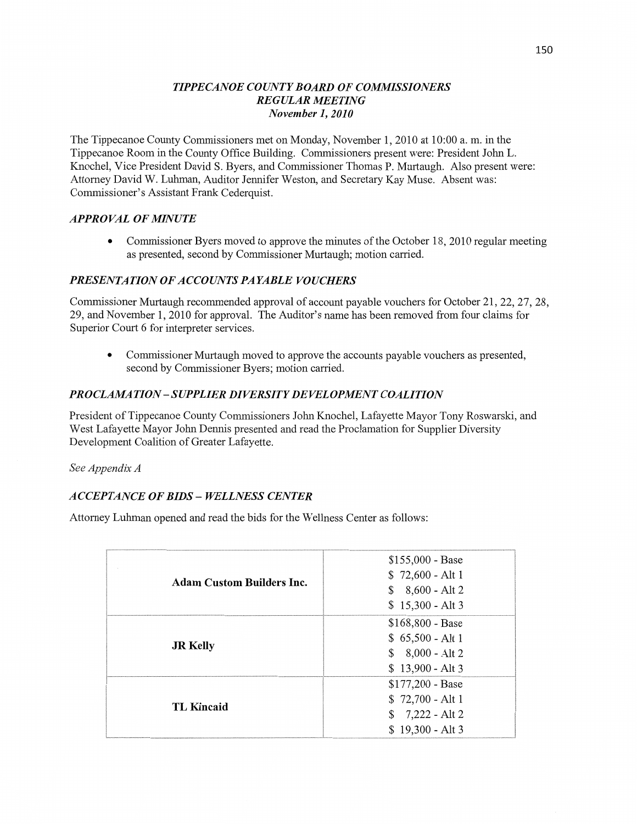#### *TIPPE CANOE COUNTY BOARD* OF *COMMISSIONERS REGULAR MEETING November* 1, *2010*

The Tippecanoe County Commissioners met on Monday, November 1, 2010 at 10:00 a. m. in the Tippecanoe Room in the County Office Building. Commissioners present were: President John L. Knochel, Vice President David S. Byers, and Commissioner Thomas P. Murtaugh. Also present **were:**  Attorney David W. Luhman, Auditor Jennifer Weston, and Secretary Kay Muse. Absent was: Commissioner's **Assistant** Frank Cederquist.

#### *APPROVAL* OF *MINUTE*

• Commissioner Byers moved to approve the minutes of the October 18, 2010 regular meeting as presented, second by Commissioner Murtaugh; motion carried.

#### *PRESENTATION* OF *ACCOUNTS* PA *YABLE VOUCHERS*

Commissioner Murtaugh recommended approval of account payable vouchers for October 21, 22, 27, 28, 29, and November 1, 2010 for approval. The Auditor's name has been removed from four claims for Superior Court 6 for interpreter services.

**0** Commissioner Murtaugh moved to approve the accounts payable **vouchers** as presented, second by Commissioner Byers; **motion** carried.

### **PROCLAMATION - SUPPLIER DIVERSITY DEVELOPMENT COALITION**

President of Tippecanoe County Commissioners John Knochel, Lafayette Mayor Tony Roswarski, and West Lafayette Mayor John Dennis presented and read the Proclamation for Supplier Diversity Development Coalition of Greater Lafayette.

See *Appendix A* 

# *ACCEPTANCE* OF *BIDS* **—** *WELLNESS CENTER*

Attorney **Luhman** opened and read the bids for the **Wellness** Center as follows:

| <b>Adam Custom Builders Inc.</b> | $$155,000 - Base$<br>$$72,600 - Alt1$ |
|----------------------------------|---------------------------------------|
|                                  | $$8,600 - Alt2$                       |
|                                  | $$15,300 - Alt3$                      |
| <b>JR Kelly</b>                  | $$168,800 - Base$                     |
|                                  | $$65,500 - Alt1$                      |
|                                  | $$8,000 - Alt2$                       |
|                                  | $$13,900 - Alt3$                      |
| <b>TL Kincaid</b>                | $$177,200 - Base$                     |
|                                  | $$72,700 - Alt1$                      |
|                                  | $$7,222 - Alt2$                       |
|                                  | $$19,300 - Alt3$                      |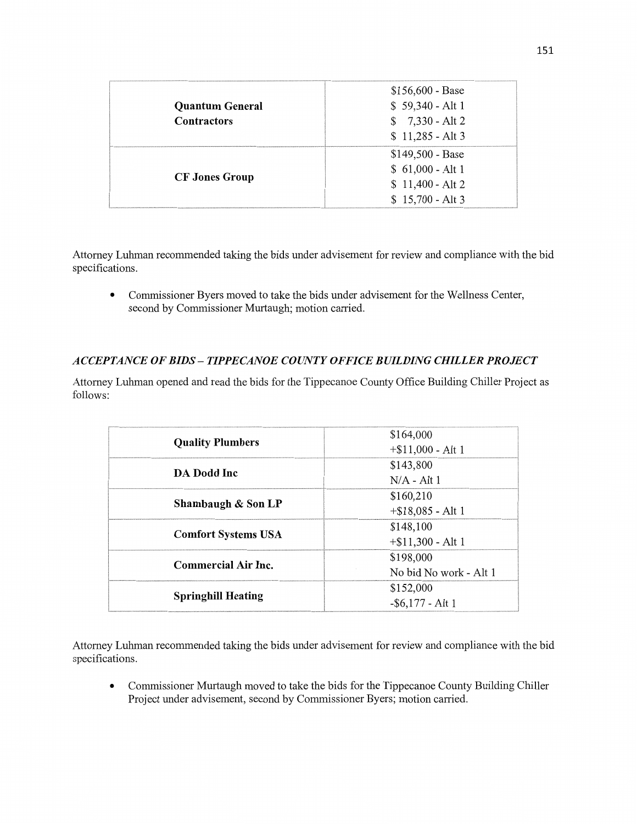| <b>Quantum General</b><br><b>Contractors</b> | $$156,600 - Base$<br>$$59,340 - Alt1$<br>$$7,330 - Alt2$<br>$$11,285 - Alt3$  |
|----------------------------------------------|-------------------------------------------------------------------------------|
| <b>CF Jones Group</b>                        | $$149,500 - Base$<br>$$61,000 - Alt1$<br>$$11,400 - Alt2$<br>$$15,700 - Alt3$ |

Attorney **Luhman** recommended taking the bids under advisement for review and compliance with the bid specifications.

**0** Commissioner Byers **moved** to take the bids under advisement for the Wellness Center, second by Commissioner Murtaugh; motion carried.

## *ACCEPTANCE* OF *BIDS* **—** *T IPPECANOE COUNTY OFFICE BUILDING CHILLER PROJECT*

Attorney Luhman opened and read the bids for the Tippecanoe County Office Building Chiller Project as follows:

| <b>Quality Plumbers</b>    | \$164,000              |
|----------------------------|------------------------|
|                            | $+$ \$11,000 - Alt 1   |
| DA Dodd Inc                | \$143,800              |
|                            | $N/A - Alt1$           |
| Shambaugh & Son LP         | \$160,210              |
|                            | $+ $18,085 - Alt1$     |
| <b>Comfort Systems USA</b> | \$148,100              |
|                            | $+$ \$11,300 - Alt 1   |
| <b>Commercial Air Inc.</b> | \$198,000              |
|                            | No bid No work - Alt 1 |
| <b>Springhill Heating</b>  | \$152,000              |
|                            | $-$ \$6,177 - Alt 1    |

Attorney **Luhman** recommended taking the bids under advisement for review and **compliance** with the bid specifications.

• Commissioner Murtaugh moved to take the bids for the Tippecanoe County Building Chiller Project under advisement, second by Commissioner Byers; **motion** cam'ed.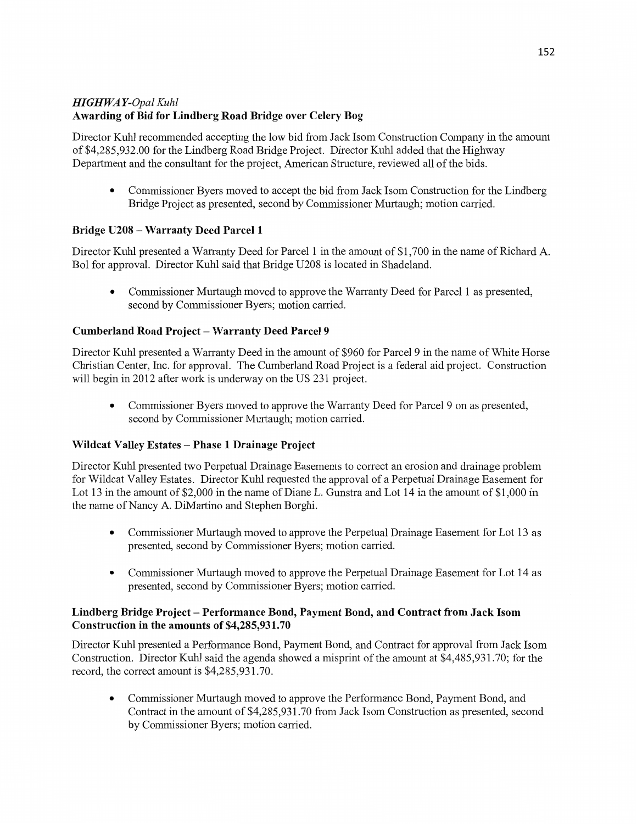# HI *GHWA Y-Opal Kuhl*  **Awarding** of Bid for **Lindberg Road Bridge over** Celery Bog

Director Kuhl recommended accepting the low bid from Jack Isom Construction Company in the amount of \$4,285,932.00 for the Lindberg Road Bridge Project. Director **Kuhl** added that the Highway Department and the consultant for the project, American Structure, reviewed all of the bids.

**0** Commissioner Byers moved to accept the bid from Jack Isom Construction for the Lindberg Bridge Project as presented, second by Commissioner Murtaugh; motion carried.

# **Bridge U208 — Warranty Deed Parcel 1**

Director **Kuhl** presented a Warranty Deed for Parcel 1 in the **amount** of \$1,700 in the **name** of Richard A. B01 for approval. Director Kuhl said that Bridge U208 is located in Shadeland.

**0** Commissioner Murtaugh moved to approve the Warranty Deed for Parcel 1 as presented, second by Commissioner Byers; **motion** carn'ed.

## **Cumberland Road Project — Warranty Deed Parcel 9**

Director Kuhl presented a Warranty Deed in the amount of \$960 for Parcel 9 in the name of White Horse Chn'stian Center, **Inc.** for approval. The Cumberland Road Project is a federal aid project. **Construction**  will begin in 2012 after work is underway on the US 231 project.

**0** Commissioner Byers moved to approve the Warranty Deed for Parcel 9 on as presented, second by Commissioner Murtaugh; motion carried.

### **Wildcat Valley Estates — Phase 1 Drainage Project**

Director Kuhl presented two Perpetual Drainage Easements to correct an erosion and drainage problem for Wildcat Valley Estates. Director **Kuhl** requested the approval of a Perpetual Drainage Easement for Lot 13 in the amount of \$2,000 in the name of Diane L. Gunstra and Lot 14 in the amount of \$1,000 in the name of Nancy A. DiMartino and Stephen Borghj.

- **0** Commissioner Murtaugh moved to approve the Perpetual Drainage Easement for Lot 13 as presented, second by Commissioner Byers; motion carried.
- **0 Commissioner** Murtaugh moved to approve the Perpetual Drainage Easement for Lot 14 as presented, second by Commissioner Byers; motion carried.

#### **Lindberg** Bridge **Project — Performance Bond, Payment Bond,** and **Contract** from **Jack Isom Construction** in the **amounts** of **\$4,285,931.70**

Director **Kuhl** presented a Performance Bond, Payment Bond, and Contract for approval from Jack Isom Construction. Director Kuhl said the agenda showed a misprint of the amount at \$4,485,931.70; for the record, the correct amount is \$4,285,931.70.

**0** Commissioner Murtaugh moved to approve the Performance Bond, Payment Bond, and Contract in the amount of \$4,285,931.70 from Jack Isom Construction as presented, second by Commissioner Byers; **motion** carried.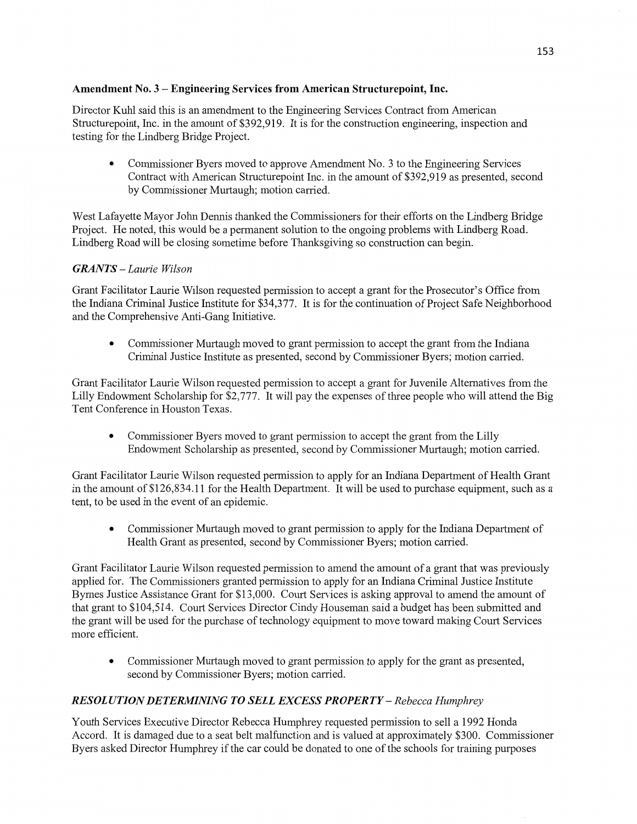## **Amendment** No. 3 **— Engineering Services from American Structurepoint, Inc.**

Director Kuhl said this is an amendment to the Engineering Services Contract from American Structurepoint, Inc. in the amount of \$392,919. It is for the construction engineering, inspection and testing for the Lindberg Bridge Project.

**0** Commissioner Byers moved to approve Amendment No. 3 to the Engineering Services Contract with American Structurepoint Inc. in the **amount** of \$392,919 as presented, second by Commissioner Murtaugh; motion carried.

West Lafayette Mayor John Dennis **thanked** the Commissioners for their efforts on the Lindberg Bridge Project. He noted, this would be a permanent solution to the ongoing problems with Lindberg Road. Lindberg Road will be closing sometime before Thanksgiving so construction can begin.

## *GRANTS* — *Laurie Wilson*

Grant Facilitator Laurie Wilson requested permission to accept a grant for the Prosecutor's Office from the Indiana Criminal Justice Institute for \$34,377. It is for the continuation of Project Safe Neighborhood and the Comprehensive Anti-Gang Initiative.

**0** Commissioner Murtaugh moved to grant permission to accept the grant from the Indiana Criminal Justice Institute as presented, second by Commissioner Byers; motion carried.

Grant Facilitator Laurie Wilson requested permission to accept a grant for Juvenile Alternatives from the Lilly Endowment Scholarship for \$2,777. It will pay the expenses of three people who will attend the Big Tent Conference in Houston Texas.

• Commissioner Byers moved to grant permission to accept the grant from the Lilly Endowment Scholarship as presented, second by Commissioner Murtaugh; motion carried.

Grant Facilitator Laurie Wilson requested permission to apply for an **Indiana** Department of Health Grant in the amount of \$126,834.11 for the Health Department. It will be used to purchase equipment, such as a tent, to be used in the event of an epidemic.

**0** Commissioner Murtaugh moved to grant permission to apply for the Indiana Department of Health Grant as presented, second by Commissioner Byers; motion carried.

Grant Facilitator Laurie Wilson requested pennission to amend the **amount** of **a** grant that was previously applied for. The Commissioners granted permission to apply for an Indiana Criminal Justice Institute Byrnes Justice Assistance Grant for \$13,000. Court Services is asking approval to amend the amount of that grant to \$104,514. Court Services Director Cindy Houseman said a budget has been submitted and the grant will be used for the purchase of technology equipment to move toward making Court Services more efficient.

**0** Commissioner Murtaugh moved to grant permission to apply for the grant as presented, second by Commissioner Byers; motion carried.

# *RESOL* UT ION DE *T ERMNING T 0 SELL EXCESS PROPERTY* **—** *Rebecca Humphrey*

Youth Services Executive Director Rebecca Humphrey requested permission to sell a 1992 Honda Accord. It is damaged due to a seat belt malfunction and is valued at approximately \$300. Commissioner Byers asked Director Humphrey if the car could be donated to one of the schools for training purposes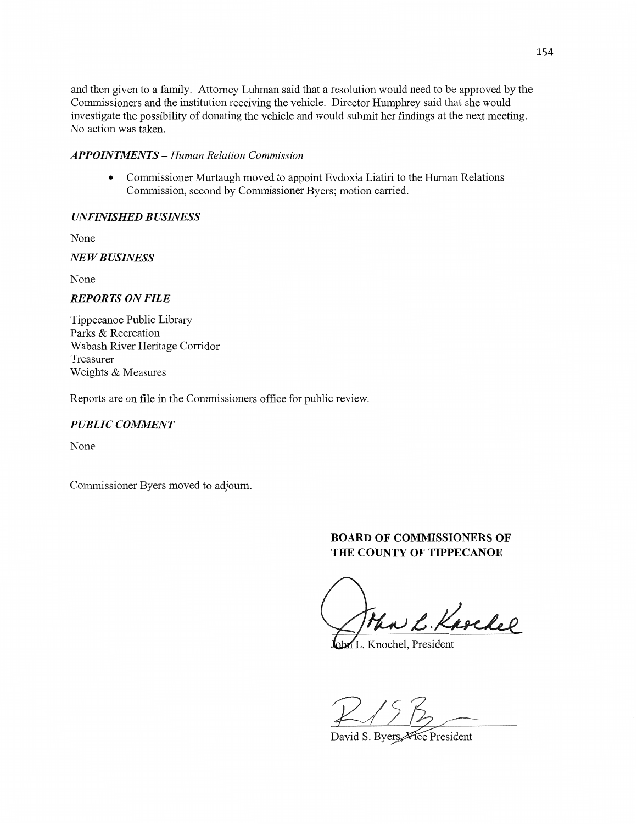and then given to a family. Attorney Luhman said that **a** resolution would need to be approved by the Commissioners and the institution receiving the vehicle. Director Humphrey said that she would investigate the possibility of donating the vehicle and would submit her findings at the next meeting. No action was taken.

#### *APPOINTMENTS* **—** *Human Relation Commission*

**0** Commissioner Murtaugh moved to appoint Evdoxia Liatiri to the Human Relations Commission, second by Commissioner Byers; motion carried.

### *UNFINISHED B USINESS*

None

# NE *WBUSINESS*

None

### *REPORTS* ON *FILE*

Tippecanoe **Public** Library Parks & Recreation Wabash River Heritage Corridor Treasurer Weights & Measures

Reports are on file in the Commissioners office for public review.

### $PUBLIC$  *COMMENT*

**None** 

Commissioner Byers moved to adjourn.

# **BOARD** OF **COMMISSIONERS** OF **THE COUNTY OF TIPPECANOE**

The L. Karchel

Knochel, President

 $R/5b$ 

David S. Byers Vice President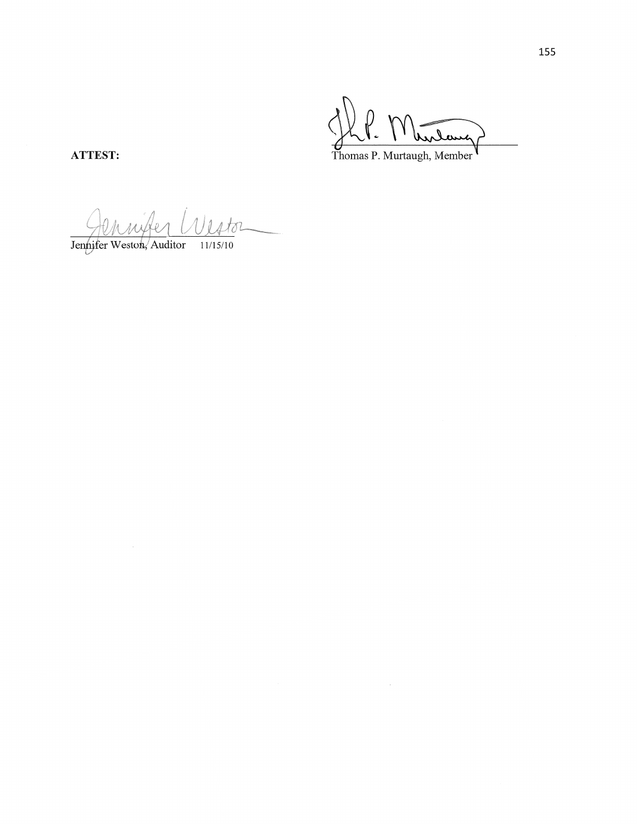hirlang Thomas P. Murtaugh, Member

ATTEST:

Vistor  $\mathcal{A}_{\alpha}$ Jennifer Weston, Auditor 11/15/10